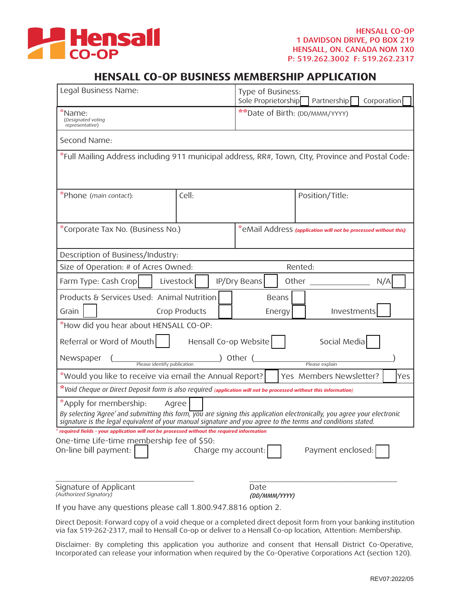

## **HENSALL CO-OP BUSINESS MEMBERSHIP APPLICATION**

| Legal Business Name:                                                                                                                                                                                                                                                         |                    | Type of Business:<br>Sole Proprietorship Partnership<br>Corporation |                   |
|------------------------------------------------------------------------------------------------------------------------------------------------------------------------------------------------------------------------------------------------------------------------------|--------------------|---------------------------------------------------------------------|-------------------|
| *Name:<br>(Designated voting<br>representative)                                                                                                                                                                                                                              |                    | **Date of Birth: (DD/MMM/YYYY)                                      |                   |
| Second Name:                                                                                                                                                                                                                                                                 |                    |                                                                     |                   |
| *Full Mailing Address including 911 municipal address, RR#, Town, CIty, Province and Postal Code:                                                                                                                                                                            |                    |                                                                     |                   |
| *Phone (main contact):                                                                                                                                                                                                                                                       | Cell:              |                                                                     | Position/Title:   |
| *Corporate Tax No. (Business No.)<br>"eMail Address (application will not be processed without this)                                                                                                                                                                         |                    |                                                                     |                   |
| Description of Business/Industry:                                                                                                                                                                                                                                            |                    |                                                                     |                   |
| Size of Operation: # of Acres Owned:<br>Rented:                                                                                                                                                                                                                              |                    |                                                                     |                   |
| Farm Type: Cash Crop<br>Livestock                                                                                                                                                                                                                                            |                    | IP/Dry Beans                                                        | Other<br>N/A      |
| Products & Services Used: Animal Nutrition<br>Beans<br>Grain<br>Crop Products<br>Investments<br>Energy                                                                                                                                                                       |                    |                                                                     |                   |
| "How did you hear about HENSALL CO-OP:                                                                                                                                                                                                                                       |                    |                                                                     |                   |
| Referral or Word of Mouth<br>Hensall Co-op Website<br>Social Media                                                                                                                                                                                                           |                    |                                                                     |                   |
| ) Other (<br>Newspaper<br>Please identify publication<br>Please explain                                                                                                                                                                                                      |                    |                                                                     |                   |
| *Would you like to receive via email the Annual Report?<br>Yes Members Newsletter?<br>Yes                                                                                                                                                                                    |                    |                                                                     |                   |
| "Void Cheque or Direct Deposit form is also required (application will not be processed without this information)                                                                                                                                                            |                    |                                                                     |                   |
| *Apply for membership:<br>Agree<br>By selecting 'Agree' and submitting this form, you are signing this application electronically, you agree your electronic<br>signature is the legal equivalent of your manual signature and you agree to the terms and conditions stated. |                    |                                                                     |                   |
| * required fields - your application will not be processed without the required information                                                                                                                                                                                  |                    |                                                                     |                   |
| One-time Life-time membership fee of \$50:<br>On-line bill payment:                                                                                                                                                                                                          | Charge my account: |                                                                     | Payment enclosed: |
| Signature of Applicant<br>(Authorized Signatory)                                                                                                                                                                                                                             |                    | Date<br>(DD/MMM/YYYY)                                               |                   |
| If you have any questions please call 1.800.947.8816 option 2.                                                                                                                                                                                                               |                    |                                                                     |                   |

Direct Deposit: Forward copy of a void cheque or a completed direct deposit form from your banking institution via fax 519-262-2317, mail to Hensall Co-op or deliver to a Hensall Co-op location, Attention: Membership.

Disclaimer: By completing this application you authorize and consent that Hensall District Co-Operative, Incorporated can release your information when required by the Co-Operative Corporations Act (section 120).